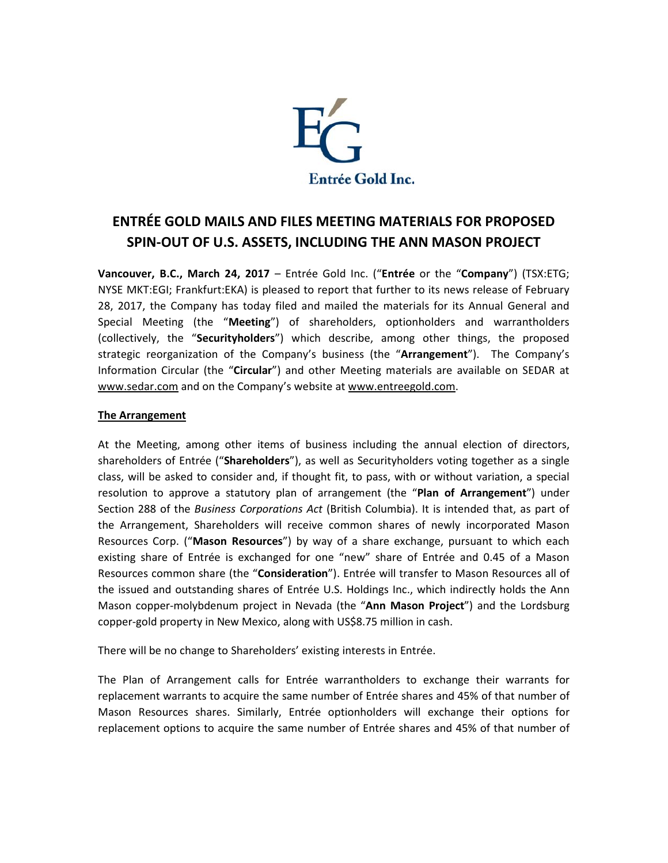

# **ENTRÉE GOLD MAILS AND FILES MEETING MATERIALS FOR PROPOSED SPIN-OUT OF U.S. ASSETS, INCLUDING THE ANN MASON PROJECT**

**Vancouver, B.C., March 24, 2017** – Entrée Gold Inc. ("**Entrée** or the "**Company**") (TSX:ETG; NYSE MKT:EGI; Frankfurt:EKA) is pleased to report that further to its news release of February 28, 2017, the Company has today filed and mailed the materials for its Annual General and Special Meeting (the "**Meeting**") of shareholders, optionholders and warrantholders (collectively, the "**Securityholders**") which describe, among other things, the proposed strategic reorganization of the Company's business (the "**Arrangement**"). The Company's Information Circular (the "**Circular**") and other Meeting materials are available on SEDAR at [www.sedar.com](http://www.sedar.com/) and on the Company's website at [www.entreegold.com.](http://www.entreegold.com/)

# **The Arrangement**

At the Meeting, among other items of business including the annual election of directors, shareholders of Entrée ("**Shareholders**"), as well as Securityholders voting together as a single class, will be asked to consider and, if thought fit, to pass, with or without variation, a special resolution to approve a statutory plan of arrangement (the "**Plan of Arrangement**") under Section 288 of the *Business Corporations Act* (British Columbia). It is intended that, as part of the Arrangement, Shareholders will receive common shares of newly incorporated Mason Resources Corp. ("**Mason Resources**") by way of a share exchange, pursuant to which each existing share of Entrée is exchanged for one "new" share of Entrée and 0.45 of a Mason Resources common share (the "**Consideration**"). Entrée will transfer to Mason Resources all of the issued and outstanding shares of Entrée U.S. Holdings Inc., which indirectly holds the Ann Mason copper-molybdenum project in Nevada (the "**Ann Mason Project**") and the Lordsburg copper-gold property in New Mexico, along with US\$8.75 million in cash.

There will be no change to Shareholders' existing interests in Entrée.

The Plan of Arrangement calls for Entrée warrantholders to exchange their warrants for replacement warrants to acquire the same number of Entrée shares and 45% of that number of Mason Resources shares. Similarly, Entrée optionholders will exchange their options for replacement options to acquire the same number of Entrée shares and 45% of that number of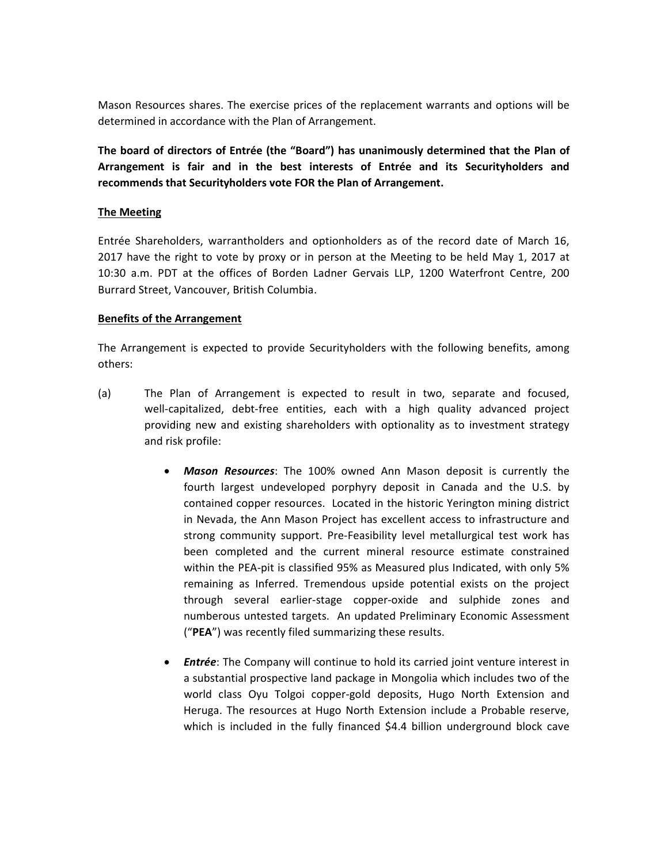Mason Resources shares. The exercise prices of the replacement warrants and options will be determined in accordance with the Plan of Arrangement.

**The board of directors of Entrée (the "Board") has unanimously determined that the Plan of Arrangement is fair and in the best interests of Entrée and its Securityholders and recommends that Securityholders vote FOR the Plan of Arrangement.** 

### **The Meeting**

Entrée Shareholders, warrantholders and optionholders as of the record date of March 16, 2017 have the right to vote by proxy or in person at the Meeting to be held May 1, 2017 at 10:30 a.m. PDT at the offices of Borden Ladner Gervais LLP, 1200 Waterfront Centre, 200 Burrard Street, Vancouver, British Columbia.

#### **Benefits of the Arrangement**

The Arrangement is expected to provide Securityholders with the following benefits, among others:

- (a) The Plan of Arrangement is expected to result in two, separate and focused, well-capitalized, debt-free entities, each with a high quality advanced project providing new and existing shareholders with optionality as to investment strategy and risk profile:
	- *Mason Resources*: The 100% owned Ann Mason deposit is currently the fourth largest undeveloped porphyry deposit in Canada and the U.S. by contained copper resources. Located in the historic Yerington mining district in Nevada, the Ann Mason Project has excellent access to infrastructure and strong community support. Pre-Feasibility level metallurgical test work has been completed and the current mineral resource estimate constrained within the PEA-pit is classified 95% as Measured plus Indicated, with only 5% remaining as Inferred. Tremendous upside potential exists on the project through several earlier-stage copper-oxide and sulphide zones and numberous untested targets. An updated Preliminary Economic Assessment ("**PEA**") was recently filed summarizing these results.
	- *Entrée*: The Company will continue to hold its carried joint venture interest in a substantial prospective land package in Mongolia which includes two of the world class Oyu Tolgoi copper-gold deposits, Hugo North Extension and Heruga. The resources at Hugo North Extension include a Probable reserve, which is included in the fully financed \$4.4 billion underground block cave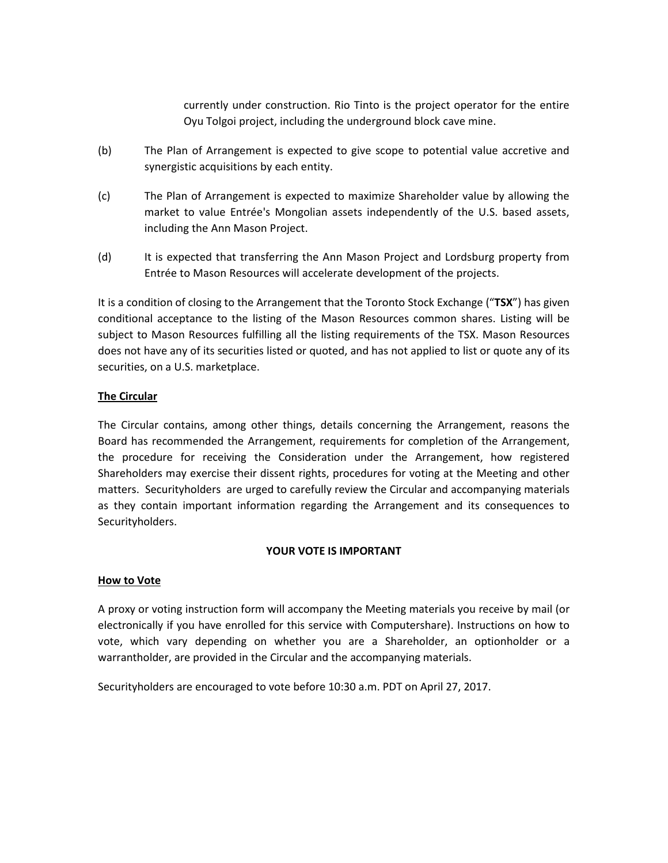currently under construction. Rio Tinto is the project operator for the entire Oyu Tolgoi project, including the underground block cave mine.

- (b) The Plan of Arrangement is expected to give scope to potential value accretive and synergistic acquisitions by each entity.
- (c) The Plan of Arrangement is expected to maximize Shareholder value by allowing the market to value Entrée's Mongolian assets independently of the U.S. based assets, including the Ann Mason Project.
- (d) It is expected that transferring the Ann Mason Project and Lordsburg property from Entrée to Mason Resources will accelerate development of the projects.

It is a condition of closing to the Arrangement that the Toronto Stock Exchange ("**TSX**") has given conditional acceptance to the listing of the Mason Resources common shares. Listing will be subject to Mason Resources fulfilling all the listing requirements of the TSX. Mason Resources does not have any of its securities listed or quoted, and has not applied to list or quote any of its securities, on a U.S. marketplace.

# **The Circular**

The Circular contains, among other things, details concerning the Arrangement, reasons the Board has recommended the Arrangement, requirements for completion of the Arrangement, the procedure for receiving the Consideration under the Arrangement, how registered Shareholders may exercise their dissent rights, procedures for voting at the Meeting and other matters. Securityholders are urged to carefully review the Circular and accompanying materials as they contain important information regarding the Arrangement and its consequences to Securityholders.

#### **YOUR VOTE IS IMPORTANT**

#### **How to Vote**

A proxy or voting instruction form will accompany the Meeting materials you receive by mail (or electronically if you have enrolled for this service with Computershare). Instructions on how to vote, which vary depending on whether you are a Shareholder, an optionholder or a warrantholder, are provided in the Circular and the accompanying materials.

Securityholders are encouraged to vote before 10:30 a.m. PDT on April 27, 2017.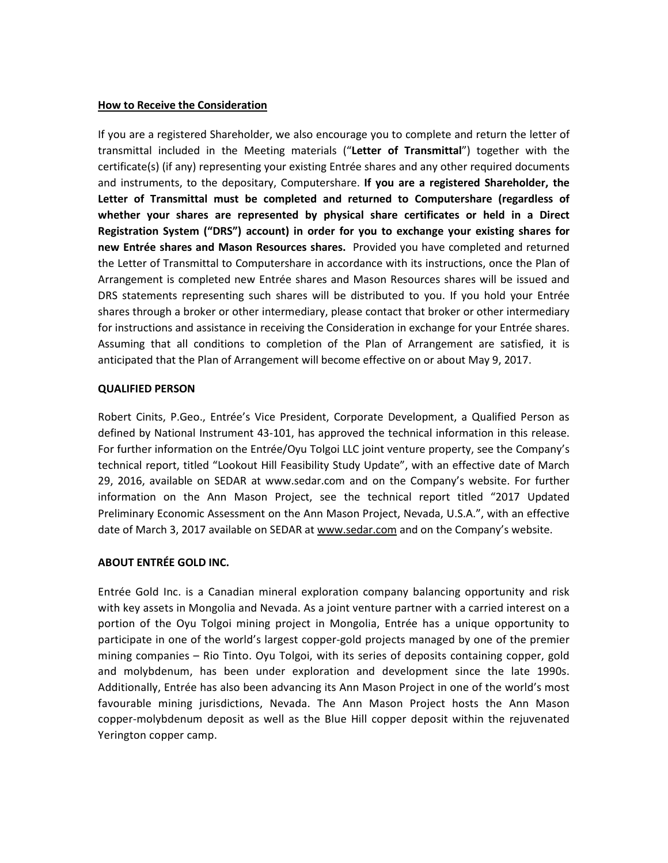### **How to Receive the Consideration**

If you are a registered Shareholder, we also encourage you to complete and return the letter of transmittal included in the Meeting materials ("**Letter of Transmittal**") together with the certificate(s) (if any) representing your existing Entrée shares and any other required documents and instruments, to the depositary, Computershare. **If you are a registered Shareholder, the Letter of Transmittal must be completed and returned to Computershare (regardless of whether your shares are represented by physical share certificates or held in a Direct Registration System ("DRS") account) in order for you to exchange your existing shares for new Entrée shares and Mason Resources shares.** Provided you have completed and returned the Letter of Transmittal to Computershare in accordance with its instructions, once the Plan of Arrangement is completed new Entrée shares and Mason Resources shares will be issued and DRS statements representing such shares will be distributed to you. If you hold your Entrée shares through a broker or other intermediary, please contact that broker or other intermediary for instructions and assistance in receiving the Consideration in exchange for your Entrée shares. Assuming that all conditions to completion of the Plan of Arrangement are satisfied, it is anticipated that the Plan of Arrangement will become effective on or about May 9, 2017.

# **QUALIFIED PERSON**

Robert Cinits, P.Geo., Entrée's Vice President, Corporate Development, a Qualified Person as defined by National Instrument 43-101, has approved the technical information in this release. For further information on the Entrée/Oyu Tolgoi LLC joint venture property, see the Company's technical report, titled "Lookout Hill Feasibility Study Update", with an effective date of March 29, 2016, available on SEDAR at [www.sedar.com](http://www.sedar.com/) and on the Company's website. For further information on the Ann Mason Project, see the technical report titled "2017 Updated Preliminary Economic Assessment on the Ann Mason Project, Nevada, U.S.A.", with an effective date of March 3, 2017 available on SEDAR at [www.sedar.com](http://www.sedar.com/) and on the Company's website.

#### **ABOUT ENTRÉE GOLD INC.**

Entrée Gold Inc. is a Canadian mineral exploration company balancing opportunity and risk with key assets in Mongolia and Nevada. As a joint venture partner with a carried interest on a portion of the Oyu Tolgoi mining project in Mongolia, Entrée has a unique opportunity to participate in one of the world's largest copper-gold projects managed by one of the premier mining companies – Rio Tinto. Oyu Tolgoi, with its series of deposits containing copper, gold and molybdenum, has been under exploration and development since the late 1990s. Additionally, Entrée has also been advancing its Ann Mason Project in one of the world's most favourable mining jurisdictions, Nevada. The Ann Mason Project hosts the Ann Mason copper-molybdenum deposit as well as the Blue Hill copper deposit within the rejuvenated Yerington copper camp.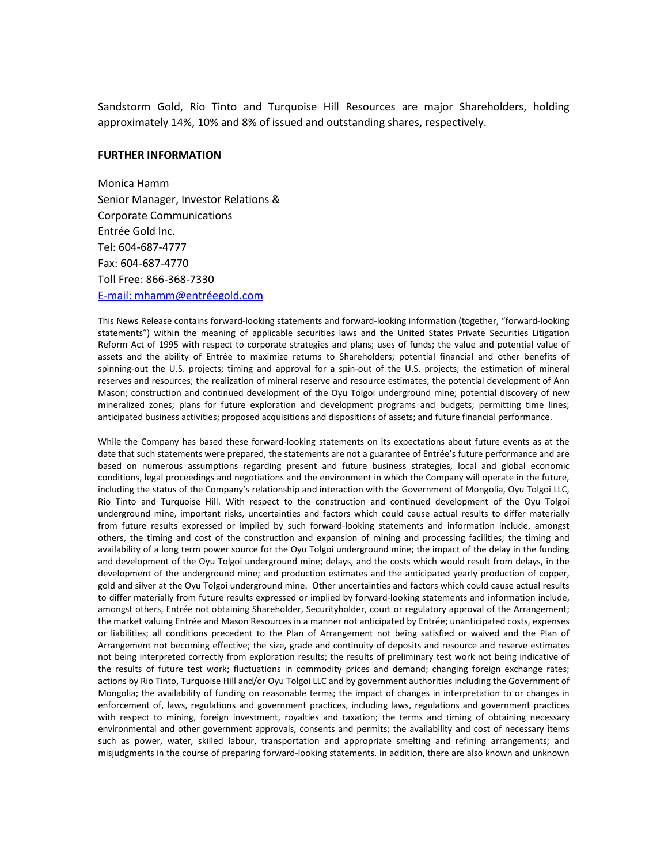Sandstorm Gold, Rio Tinto and Turquoise Hill Resources are major Shareholders, holding approximately 14%, 10% and 8% of issued and outstanding shares, respectively.

#### **FURTHER INFORMATION**

Monica Hamm Senior Manager, Investor Relations & Corporate Communications Entrée Gold Inc. Tel: 604-687-4777 Fax: 604-687-4770 Toll Free: 866-368-7330 E-mail: mhamm@entréegold.com

This News Release contains forward-looking statements and forward-looking information (together, "forward-looking statements") within the meaning of applicable securities laws and the United States Private Securities Litigation Reform Act of 1995 with respect to corporate strategies and plans; uses of funds; the value and potential value of assets and the ability of Entrée to maximize returns to Shareholders; potential financial and other benefits of spinning-out the U.S. projects; timing and approval for a spin-out of the U.S. projects; the estimation of mineral reserves and resources; the realization of mineral reserve and resource estimates; the potential development of Ann Mason; construction and continued development of the Oyu Tolgoi underground mine; potential discovery of new mineralized zones; plans for future exploration and development programs and budgets; permitting time lines; anticipated business activities; proposed acquisitions and dispositions of assets; and future financial performance.

While the Company has based these forward-looking statements on its expectations about future events as at the date that such statements were prepared, the statements are not a guarantee of Entrée's future performance and are based on numerous assumptions regarding present and future business strategies, local and global economic conditions, legal proceedings and negotiations and the environment in which the Company will operate in the future, including the status of the Company's relationship and interaction with the Government of Mongolia, Oyu Tolgoi LLC, Rio Tinto and Turquoise Hill. With respect to the construction and continued development of the Oyu Tolgoi underground mine, important risks, uncertainties and factors which could cause actual results to differ materially from future results expressed or implied by such forward-looking statements and information include, amongst others, the timing and cost of the construction and expansion of mining and processing facilities; the timing and availability of a long term power source for the Oyu Tolgoi underground mine; the impact of the delay in the funding and development of the Oyu Tolgoi underground mine; delays, and the costs which would result from delays, in the development of the underground mine; and production estimates and the anticipated yearly production of copper, gold and silver at the Oyu Tolgoi underground mine. Other uncertainties and factors which could cause actual results to differ materially from future results expressed or implied by forward-looking statements and information include, amongst others, Entrée not obtaining Shareholder, Securityholder, court or regulatory approval of the Arrangement; the market valuing Entrée and Mason Resources in a manner not anticipated by Entrée; unanticipated costs, expenses or liabilities; all conditions precedent to the Plan of Arrangement not being satisfied or waived and the Plan of Arrangement not becoming effective; the size, grade and continuity of deposits and resource and reserve estimates not being interpreted correctly from exploration results; the results of preliminary test work not being indicative of the results of future test work; fluctuations in commodity prices and demand; changing foreign exchange rates; actions by Rio Tinto, Turquoise Hill and/or Oyu Tolgoi LLC and by government authorities including the Government of Mongolia; the availability of funding on reasonable terms; the impact of changes in interpretation to or changes in enforcement of, laws, regulations and government practices, including laws, regulations and government practices with respect to mining, foreign investment, royalties and taxation; the terms and timing of obtaining necessary environmental and other government approvals, consents and permits; the availability and cost of necessary items such as power, water, skilled labour, transportation and appropriate smelting and refining arrangements; and misjudgments in the course of preparing forward-looking statements. In addition, there are also known and unknown